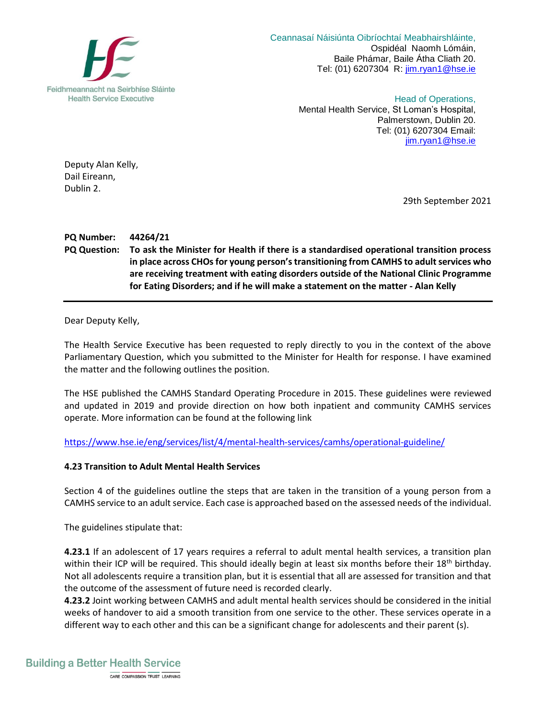

 Ceannasaí Náisiúnta Oibríochtaí Meabhairshláinte, Ospidéal Naomh Lómáin, Baile Phámar, Baile Átha Cliath 20. Tel: (01) 6207304 R: [jim.ryan1@hse.ie](mailto:jim.ryan1@hse.ie)

> Head of Operations, Mental Health Service, St Loman's Hospital, Palmerstown, Dublin 20. Tel: (01) 6207304 Email: [jim.ryan1@hse.ie](mailto:jim.ryan1@hse.ie)

Deputy Alan Kelly, Dail Eireann, Dublin 2.

29th September 2021

**PQ Number: 44264/21 PQ Question: To ask the Minister for Health if there is a standardised operational transition process in place across CHOs for young person'stransitioning from CAMHS to adult services who are receiving treatment with eating disorders outside of the National Clinic Programme for Eating Disorders; and if he will make a statement on the matter - Alan Kelly**

Dear Deputy Kelly,

The Health Service Executive has been requested to reply directly to you in the context of the above Parliamentary Question, which you submitted to the Minister for Health for response. I have examined the matter and the following outlines the position.

The HSE published the CAMHS Standard Operating Procedure in 2015. These guidelines were reviewed and updated in 2019 and provide direction on how both inpatient and community CAMHS services operate. More information can be found at the following link

<https://www.hse.ie/eng/services/list/4/mental-health-services/camhs/operational-guideline/>

## **4.23 Transition to Adult Mental Health Services**

Section 4 of the guidelines outline the steps that are taken in the transition of a young person from a CAMHS service to an adult service. Each case is approached based on the assessed needs of the individual.

The guidelines stipulate that:

**4.23.1** If an adolescent of 17 years requires a referral to adult mental health services, a transition plan within their ICP will be required. This should ideally begin at least six months before their 18<sup>th</sup> birthday. Not all adolescents require a transition plan, but it is essential that all are assessed for transition and that the outcome of the assessment of future need is recorded clearly.

**4.23.2** Joint working between CAMHS and adult mental health services should be considered in the initial weeks of handover to aid a smooth transition from one service to the other. These services operate in a different way to each other and this can be a significant change for adolescents and their parent (s).